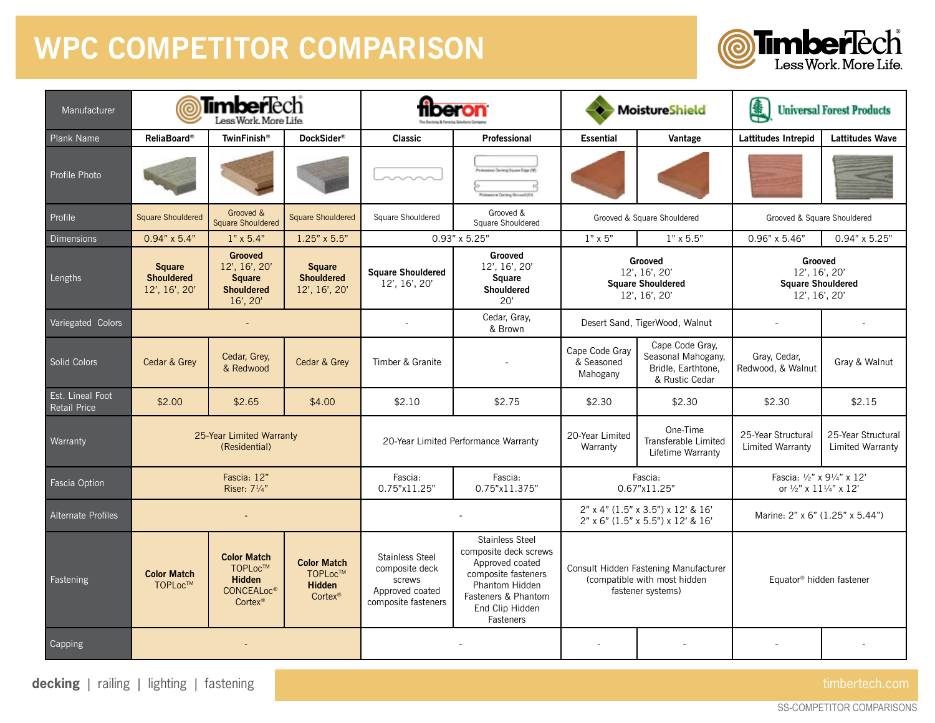## **WPC COMPETITOR COMPARISON**



| Manufacturer                            | <b>Timber</b> lèch<br>Less Work, More Life                                                                                                                                                                  |                                  |                                                                                              |                                                                                                                                                                    |                                                                                            |                                                                                                                           | MoistureShield                                                         | 鼻<br><b>Universal Forest Products</b>                                                             |                                        |  |
|-----------------------------------------|-------------------------------------------------------------------------------------------------------------------------------------------------------------------------------------------------------------|----------------------------------|----------------------------------------------------------------------------------------------|--------------------------------------------------------------------------------------------------------------------------------------------------------------------|--------------------------------------------------------------------------------------------|---------------------------------------------------------------------------------------------------------------------------|------------------------------------------------------------------------|---------------------------------------------------------------------------------------------------|----------------------------------------|--|
| <b>Plank Name</b>                       | <b>ReliaBoard®</b>                                                                                                                                                                                          | DockSider®<br><b>TwinFinish®</b> |                                                                                              | <b>Classic</b>                                                                                                                                                     | Professional                                                                               | <b>Essential</b><br>Vantage                                                                                               |                                                                        | Lattitudes Intrepid                                                                               | <b>Lattitudes Wave</b>                 |  |
| Profile Photo                           |                                                                                                                                                                                                             |                                  |                                                                                              |                                                                                                                                                                    | Villandoral Davier o Square Raga (OE)<br><b>Airw Delving Grossett (In)</b>                 |                                                                                                                           |                                                                        |                                                                                                   |                                        |  |
| Profile                                 | Grooved &<br><b>Square Shouldered</b><br><b>Square Shouldered</b><br><b>Square Shouldered</b>                                                                                                               |                                  | Grooved &<br>Square Shouldered<br>Square Shouldered                                          |                                                                                                                                                                    |                                                                                            | Grooved & Square Shouldered                                                                                               | Grooved & Square Shouldered                                            |                                                                                                   |                                        |  |
| <b>Dimensions</b>                       | $0.94" \times 5.4"$                                                                                                                                                                                         | $1" \times 5.4"$                 | 1.25" x 5.5"                                                                                 |                                                                                                                                                                    | $0.93" \times 5.25"$                                                                       | $1" \times 5"$<br>$1" \times 5.5"$                                                                                        |                                                                        | $0.96" \times 5.46"$                                                                              | $0.94" \times 5.25"$                   |  |
| Lengths                                 | <b>Grooved</b><br>12', 16', 20'<br><b>Square</b><br><b>Square</b><br><b>Shouldered</b><br><b>Shouldered</b><br><b>Square</b><br><b>Shouldered</b><br>12', 16', 20'<br>12', 16', 20'<br>$16'$ , $20'$        |                                  | <b>Square Shouldered</b><br>12', 16', 20'                                                    | Grooved<br>12', 16', 20'<br>Square<br><b>Shouldered</b><br>20'                                                                                                     | Grooved<br>12', 16', 20'<br><b>Square Shouldered</b><br>12', 16', 20'                      |                                                                                                                           | Grooved<br>12', 16', 20'<br><b>Square Shouldered</b><br>12', 16', 20'  |                                                                                                   |                                        |  |
| Variegated Colors                       |                                                                                                                                                                                                             | $\sim$                           |                                                                                              |                                                                                                                                                                    | Cedar, Gray,<br>& Brown                                                                    | Desert Sand, TigerWood, Walnut                                                                                            |                                                                        | $\sim$                                                                                            |                                        |  |
| <b>Solid Colors</b>                     | Cedar & Grey                                                                                                                                                                                                | Cedar, Grey,<br>& Redwood        | Cedar & Grey                                                                                 | Timber & Granite                                                                                                                                                   |                                                                                            | Cape Code Gray,<br>Cape Code Gray<br>Seasonal Mahogany,<br>& Seasoned<br>Bridle, Earthtone,<br>Mahogany<br>& Rustic Cedar |                                                                        | Gray, Cedar,<br>Redwood, & Walnut                                                                 | Gray & Walnut                          |  |
| Est. Lineal Foot<br><b>Retail Price</b> | \$2.00                                                                                                                                                                                                      | \$2.65<br>\$4.00                 |                                                                                              | \$2.10                                                                                                                                                             | \$2.75                                                                                     | \$2.30                                                                                                                    | \$2.30                                                                 | \$2.30                                                                                            | \$2.15                                 |  |
| Warranty                                | 25-Year Limited Warranty<br>(Residential)                                                                                                                                                                   |                                  |                                                                                              | 20-Year Limited Performance Warranty                                                                                                                               |                                                                                            | 20-Year Limited<br>Warranty                                                                                               | One-Time<br><b>Transferable Limited</b><br>Lifetime Warranty           | 25-Year Structural<br>Limited Warranty                                                            | 25-Year Structural<br>Limited Warranty |  |
| Fascia Option                           |                                                                                                                                                                                                             | Fascia: 12"<br>Riser: 71/4"      |                                                                                              | Fascia:<br>0.75"x11.25"                                                                                                                                            | Fascia:<br>0.75"x11.375"                                                                   |                                                                                                                           | Fascia:<br>0.67"x11.25"                                                | Fascia: $\frac{1}{2}$ " x 9 $\frac{1}{4}$ " x 12'<br>or $\frac{1}{2}$ " x $11\frac{1}{4}$ " x 12' |                                        |  |
| <b>Alternate Profiles</b>               |                                                                                                                                                                                                             |                                  |                                                                                              |                                                                                                                                                                    |                                                                                            |                                                                                                                           | 2" x 4" (1.5" x 3.5") x 12' & 16'<br>2" x 6" (1.5" x 5.5") x 12' & 16' | Marine: 2" x 6" (1.25" x 5.44")                                                                   |                                        |  |
| Fastening                               | <b>Color Match</b><br><b>Color Match</b><br>TOPLoc™<br><b>TOPLoc™</b><br><b>Color Match</b><br><b>Hidden</b><br>TOPLoc™<br><b>Hidden</b><br><b>CONCEALoc®</b><br>Cortex <sup>®</sup><br>Cortex <sup>®</sup> |                                  | <b>Stainless Steel</b><br>composite deck<br>screws<br>Approved coated<br>composite fasteners | <b>Stainless Steel</b><br>composite deck screws<br>Approved coated<br>composite fasteners<br>Phantom Hidden<br>Fasteners & Phantom<br>End Clip Hidden<br>Fasteners | Consult Hidden Fastening Manufacturer<br>(compatible with most hidden<br>fastener systems) |                                                                                                                           | Equator <sup>®</sup> hidden fastener                                   |                                                                                                   |                                        |  |
| Capping                                 |                                                                                                                                                                                                             |                                  |                                                                                              |                                                                                                                                                                    |                                                                                            |                                                                                                                           |                                                                        |                                                                                                   |                                        |  |

**decking** | railing | lighting | fastening timbertech.com timbertech.com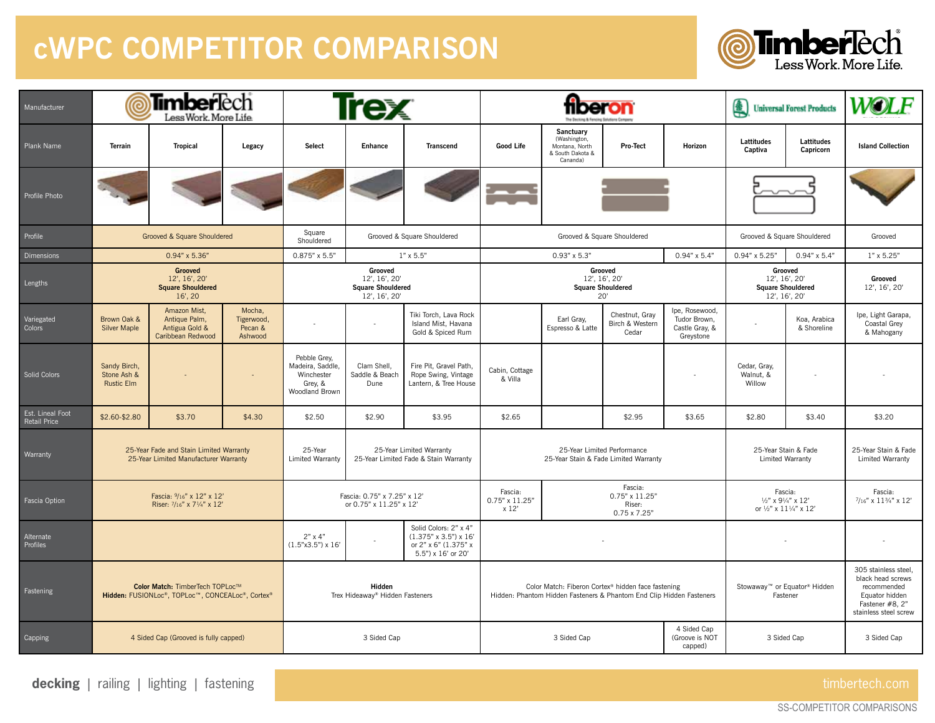## **cWPC COMPETITOR COMPARISON**



| Manufacturer                            | <b>Timber</b> Tech<br>ල<br>Less Work, More Life.                                    |                                                                      |                                            | <b>Trex</b>                                                                                              |                                                                   |                                                                                                                            |                                                                      |                                                                             |                                                                                                      | (4)<br><b>Universal Forest Products</b>                               |                                                 | WOLF                                                                                                                   |                                                  |
|-----------------------------------------|-------------------------------------------------------------------------------------|----------------------------------------------------------------------|--------------------------------------------|----------------------------------------------------------------------------------------------------------|-------------------------------------------------------------------|----------------------------------------------------------------------------------------------------------------------------|----------------------------------------------------------------------|-----------------------------------------------------------------------------|------------------------------------------------------------------------------------------------------|-----------------------------------------------------------------------|-------------------------------------------------|------------------------------------------------------------------------------------------------------------------------|--------------------------------------------------|
| Plank Name                              | <b>Terrain</b>                                                                      | <b>Tropical</b>                                                      | Legacy                                     | Select                                                                                                   | Enhance                                                           | <b>Transcend</b>                                                                                                           | <b>Good Life</b>                                                     | Sanctuary<br>(Washington,<br>Montana, North<br>& South Dakota &<br>Cananda) | <b>Pro-Tect</b>                                                                                      | Horizon                                                               | Lattitudes<br>Captiva                           | Lattitudes<br>Capricorn                                                                                                | <b>Island Collection</b>                         |
| Profile Photo                           |                                                                                     |                                                                      |                                            |                                                                                                          |                                                                   |                                                                                                                            |                                                                      |                                                                             |                                                                                                      |                                                                       |                                                 |                                                                                                                        |                                                  |
| Profile                                 | Grooved & Square Shouldered                                                         |                                                                      |                                            | Square<br>Grooved & Square Shouldered<br>Shouldered                                                      |                                                                   | Grooved & Square Shouldered                                                                                                |                                                                      |                                                                             |                                                                                                      | Grooved & Square Shouldered                                           |                                                 | Grooved                                                                                                                |                                                  |
| Dimensions                              |                                                                                     | $0.94" \times 5.36"$                                                 |                                            | $0.875" \times 5.5"$                                                                                     |                                                                   | $1'' \times 5.5''$                                                                                                         |                                                                      | $0.93" \times 5.3"$                                                         |                                                                                                      | $0.94" \times 5.4"$                                                   | $0.94" \times 5.25"$                            | $0.94" \times 5.4"$                                                                                                    | $1" \times 5.25"$                                |
| Lengths                                 | Grooved<br>12', 16', 20'<br><b>Square Shouldered</b><br>$16'$ , 20                  |                                                                      |                                            | Grooved<br>12', 16', 20'<br><b>Square Shouldered</b><br>12', 16', 20'                                    |                                                                   | Grooved<br>12', 16', 20'<br><b>Square Shouldered</b><br>20'                                                                |                                                                      |                                                                             |                                                                                                      | Grooved<br>12', 16', 20'<br><b>Square Shouldered</b><br>12', 16', 20' |                                                 | Grooved<br>12', 16', 20'                                                                                               |                                                  |
| Variegated<br>Colors                    | Brown Oak &<br><b>Silver Maple</b>                                                  | Amazon Mist,<br>Antique Palm,<br>Antigua Gold &<br>Caribbean Redwood | Mocha,<br>Tigerwood,<br>Pecan &<br>Ashwood |                                                                                                          |                                                                   | Tiki Torch, Lava Rock<br>Island Mist, Havana<br>Gold & Spiced Rum                                                          |                                                                      | Earl Gray,<br>Espresso & Latte                                              | Chestnut, Gray<br>Birch & Western<br>Cedar                                                           | Ipe, Rosewood,<br>Tudor Brown,<br>Castle Gray, &<br>Greystone         |                                                 | Koa, Arabica<br>& Shoreline                                                                                            | Ipe, Light Garapa,<br>Coastal Grey<br>& Mahogany |
| Solid Colors                            | Sandy Birch,<br>Stone Ash &<br><b>Rustic Elm</b>                                    |                                                                      |                                            | Pebble Grey,<br>Madeira, Saddle,<br>Winchester<br>Grey, &<br>Woodland Brown                              | Clam Shell,<br>Saddle & Beach<br>Dune                             | Fire Pit, Gravel Path,<br>Rope Swing, Vintage<br>Lantern, & Tree House                                                     | Cabin, Cottage<br>& Villa                                            |                                                                             |                                                                                                      |                                                                       | Cedar, Gray,<br>Walnut, &<br>Willow             |                                                                                                                        |                                                  |
| Est. Lineal Foot<br><b>Retail Price</b> | \$2.60-\$2.80                                                                       | \$3.70                                                               | \$4.30                                     | \$2.50                                                                                                   | \$2.90                                                            | \$3.95                                                                                                                     | \$2.65                                                               |                                                                             | \$2.95                                                                                               | \$3.65                                                                | \$2.80                                          | \$3.40                                                                                                                 | \$3.20                                           |
| Warranty                                | 25-Year Fade and Stain Limited Warranty<br>25-Year Limited Manufacturer Warranty    |                                                                      |                                            | 25-Year<br>Limited Warranty                                                                              | 25-Year Limited Warranty<br>25-Year Limited Fade & Stain Warranty |                                                                                                                            | 25-Year Limited Performance<br>25-Year Stain & Fade Limited Warranty |                                                                             |                                                                                                      |                                                                       | 25-Year Stain & Fade<br><b>Limited Warranty</b> |                                                                                                                        | 25-Year Stain & Fade<br>Limited Warranty         |
| Fascia Option                           | Fascia: 9/16" x 12" x 12"<br>Riser: 7/16" x 71/4" x 12'                             |                                                                      |                                            | Fascia: 0.75" x 7.25" x 12'<br>or 0.75" x 11.25" x 12'                                                   |                                                                   | Fascia:<br>Fascia:<br>0.75" x 11.25"<br>$0.75" \times 11.25"$<br>Riser:<br>x 12'<br>$0.75 \times 7.25$ "                   |                                                                      |                                                                             | Fascia:<br>$\frac{1}{2}$ " x 9 $\frac{1}{4}$ " x 12'<br>or $\frac{1}{2}$ " x $11\frac{1}{4}$ " x 12' |                                                                       | Fascia:<br>$7/16"$ x $11\frac{3}{4"}$ x $12"$   |                                                                                                                        |                                                  |
| Alternate<br>Profiles                   |                                                                                     |                                                                      | $2" \times 4"$<br>$(1.5"x3.5") \times 16'$ | Solid Colors: 2" x 4"<br>$(1.375" \times 3.5") \times 16'$<br>or 2" x 6" (1.375" x<br>5.5") x 16' or 20' |                                                                   |                                                                                                                            |                                                                      |                                                                             |                                                                                                      |                                                                       |                                                 |                                                                                                                        |                                                  |
| Fastening                               | Color Match: TimberTech TOPLoc™<br>Hidden: FUSIONLoc®, TOPLoc™, CONCEALoc®, Cortex® |                                                                      |                                            | Hidden<br>Trex Hideaway® Hidden Fasteners                                                                |                                                                   | Color Match: Fiberon Cortex® hidden face fastening<br>Hidden: Phantom Hidden Fasteners & Phantom End Clip Hidden Fasteners |                                                                      |                                                                             |                                                                                                      | Stowaway™ or Equator® Hidden<br>Fastener                              |                                                 | 305 stainless steel,<br>black head screws<br>recommended<br>Equator hidden<br>Fastener #8, 2"<br>stainless steel screw |                                                  |
| Capping                                 | 4 Sided Cap (Grooved is fully capped)                                               |                                                                      |                                            | 3 Sided Cap                                                                                              |                                                                   |                                                                                                                            | 4 Sided Cap<br>3 Sided Cap<br>(Groove is NOT<br>capped)              |                                                                             |                                                                                                      |                                                                       | 3 Sided Cap                                     |                                                                                                                        | 3 Sided Cap                                      |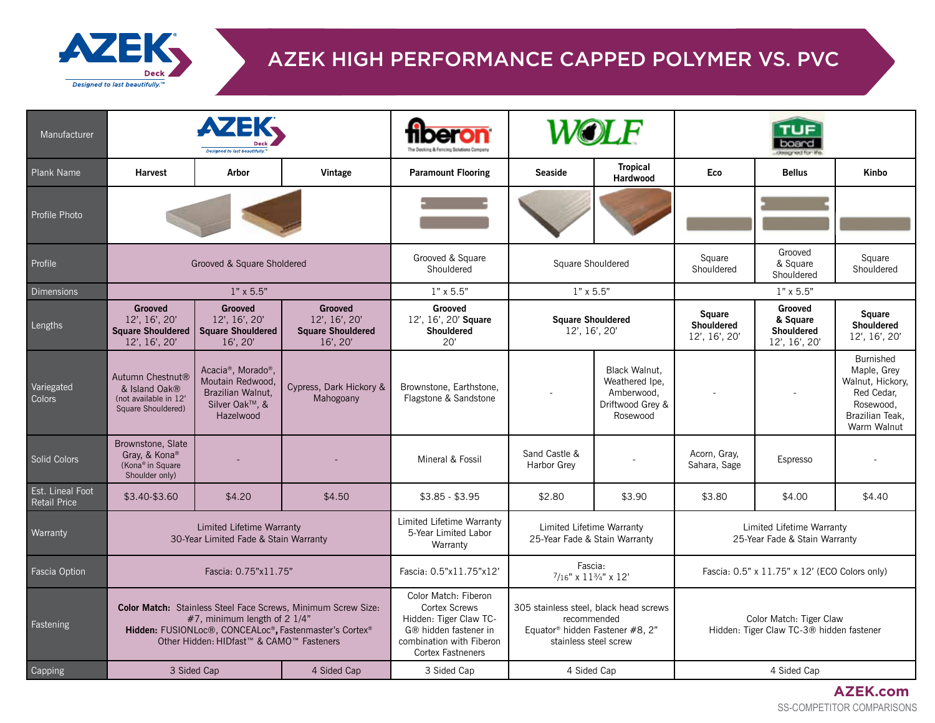

## AZEK HIGH PERFORMANCE CAPPED POLYMER VS. PVC

| Manufacturer                     | <b>AZEK</b>                                                                                                                                                                                                                           |                                                                                                                     |                                                                                                                         |                                                                                                                                                         |                                                                                                                               |                                              | lessigned for                                                       |                                                     |                                                                                                                  |  |
|----------------------------------|---------------------------------------------------------------------------------------------------------------------------------------------------------------------------------------------------------------------------------------|---------------------------------------------------------------------------------------------------------------------|-------------------------------------------------------------------------------------------------------------------------|---------------------------------------------------------------------------------------------------------------------------------------------------------|-------------------------------------------------------------------------------------------------------------------------------|----------------------------------------------|---------------------------------------------------------------------|-----------------------------------------------------|------------------------------------------------------------------------------------------------------------------|--|
| Plank Name                       | <b>Harvest</b>                                                                                                                                                                                                                        | Arbor<br>Vintage                                                                                                    |                                                                                                                         | <b>Paramount Flooring</b>                                                                                                                               | <b>Seaside</b>                                                                                                                | <b>Tropical</b><br>Hardwood                  | Eco                                                                 | <b>Bellus</b>                                       | Kinbo                                                                                                            |  |
| Profile Photo                    |                                                                                                                                                                                                                                       |                                                                                                                     |                                                                                                                         |                                                                                                                                                         |                                                                                                                               |                                              |                                                                     |                                                     |                                                                                                                  |  |
| Profile                          |                                                                                                                                                                                                                                       | Grooved & Square Sholdered                                                                                          |                                                                                                                         | Grooved & Square<br>Shouldered                                                                                                                          | Square Shouldered                                                                                                             |                                              | Square<br>Shouldered                                                | Grooved<br>& Square<br>Shouldered                   | Square<br>Shouldered                                                                                             |  |
| Dimensions                       |                                                                                                                                                                                                                                       | $1" \times 5.5"$                                                                                                    |                                                                                                                         | $1" \times 5.5"$                                                                                                                                        | $1" \times 5.5"$                                                                                                              |                                              |                                                                     | $1" \times 5.5"$                                    |                                                                                                                  |  |
| Lengths                          | <b>Grooved</b><br>Grooved<br><b>Grooved</b><br>12', 16', 20'<br>12', 16', 20'<br>12', 16', 20'<br><b>Square Shouldered</b><br><b>Square Shouldered</b><br><b>Square Shouldered</b><br>$16'$ , $20'$<br>$16'$ , $20'$<br>12', 16', 20' |                                                                                                                     | Grooved<br>12', 16', 20' Square<br><b>Shouldered</b><br>20'                                                             | <b>Square Shouldered</b><br>12', 16', 20'                                                                                                               |                                                                                                                               | <b>Square</b><br>Shouldered<br>12', 16', 20' | Grooved<br>& Square<br><b>Shouldered</b><br>12', 16', 20'           | <b>Square</b><br><b>Shouldered</b><br>12', 16', 20' |                                                                                                                  |  |
| Variegated<br>Colors             | Autumn Chestnut <sup>®</sup><br>& Island Oak®<br>(not available in 12'<br>Square Shouldered)                                                                                                                                          | Acacia <sup>®</sup> , Morado <sup>®</sup> ,<br>Moutain Redwood,<br>Brazilian Walnut,<br>Silver Oak™, &<br>Hazelwood | Cypress, Dark Hickory &<br>Mahogoany                                                                                    | Brownstone, Earthstone,<br>Flagstone & Sandstone                                                                                                        | Black Walnut,<br>Weathered Ipe,<br>Amberwood,<br>Driftwood Grey &<br>Rosewood                                                 |                                              |                                                                     |                                                     | <b>Burnished</b><br>Maple, Grey<br>Walnut, Hickory,<br>Red Cedar,<br>Rosewood,<br>Brazilian Teak,<br>Warm Walnut |  |
| Solid Colors                     | Brownstone, Slate<br>Gray, & Kona®<br>(Kona® in Square<br>Shoulder only)                                                                                                                                                              |                                                                                                                     |                                                                                                                         | Mineral & Fossil                                                                                                                                        | Sand Castle &<br><b>Harbor Grev</b>                                                                                           |                                              | Acorn, Gray,<br>Sahara, Sage                                        | Espresso                                            |                                                                                                                  |  |
| Est. Lineal Foot<br>Retail Price | \$3.40-\$3.60                                                                                                                                                                                                                         | \$4.20                                                                                                              | \$4.50                                                                                                                  | $$3.85 - $3.95$                                                                                                                                         | \$2.80                                                                                                                        | \$3.90                                       | \$3.80                                                              | \$4.00                                              | \$4.40                                                                                                           |  |
| Warranty                         |                                                                                                                                                                                                                                       | Limited Lifetime Warranty<br>30-Year Limited Fade & Stain Warranty                                                  |                                                                                                                         | Limited Lifetime Warranty<br>5-Year Limited Labor<br>Warranty                                                                                           | Limited Lifetime Warranty<br>25-Year Fade & Stain Warranty                                                                    |                                              | Limited Lifetime Warranty<br>25-Year Fade & Stain Warranty          |                                                     |                                                                                                                  |  |
| Fascia Option                    |                                                                                                                                                                                                                                       | Fascia: 0.75"x11.75"                                                                                                |                                                                                                                         | Fascia: 0.5"x11.75"x12'                                                                                                                                 | Fascia:<br>$7/16$ " x $11\frac{3}{4}$ " x $12$ "                                                                              |                                              | Fascia: 0.5" x 11.75" x 12' (ECO Colors only)                       |                                                     |                                                                                                                  |  |
| Fastening                        |                                                                                                                                                                                                                                       | $#7$ , minimum length of 2 1/4"<br>Other Hidden: HIDfast <sup>™</sup> & CAMO <sup>™</sup> Fasteners                 | Color Match: Stainless Steel Face Screws, Minimum Screw Size:<br>Hidden: FUSIONLoc®, CONCEALoc®, Fastenmaster's Cortex® | Color Match: Fiberon<br><b>Cortex Screws</b><br>Hidden: Tiger Claw TC-<br>G® hidden fastener in<br>combination with Fiberon<br><b>Cortex Fastneners</b> | 305 stainless steel, black head screws<br>recommended<br>Equator <sup>®</sup> hidden Fastener #8, 2"<br>stainless steel screw |                                              | Color Match: Tiger Claw<br>Hidden: Tiger Claw TC-3® hidden fastener |                                                     |                                                                                                                  |  |
| Capping                          | 3 Sided Cap<br>4 Sided Cap                                                                                                                                                                                                            |                                                                                                                     |                                                                                                                         | 3 Sided Cap                                                                                                                                             | 4 Sided Cap                                                                                                                   |                                              |                                                                     | 4 Sided Cap                                         |                                                                                                                  |  |